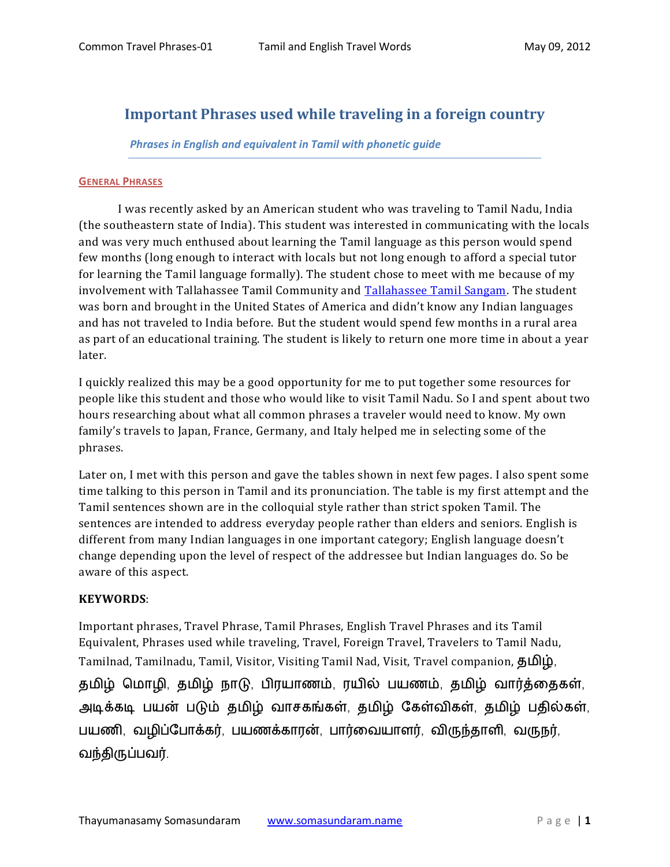# **Important Phrases used while traveling in a foreign country**

### *Phrases in English and equivalent in Tamil with phonetic guide*

#### **GENERAL PHRASES**

I was recently asked by an American student who was traveling to Tamil Nadu, India (the southeastern state of India). This student was interested in communicating with the locals and was very much enthused about learning the Tamil language as this person would spend few months (long enough to interact with locals but not long enough to afford a special tutor for learning the Tamil language formally). The student chose to meet with me because of my involvement with Tallahassee Tamil Community and [Tallahassee Tamil Sangam.](http://tlh-tamilsangam.somasundaram.us/) The student was born and brought in the United States of America and didn't know any Indian languages and has not traveled to India before. But the student would spend few months in a rural area as part of an educational training. The student is likely to return one more time in about a year later.

I quickly realized this may be a good opportunity for me to put together some resources for people like this student and those who would like to visit Tamil Nadu. So I and spent about two hours researching about what all common phrases a traveler would need to know. My own family's travels to Japan, France, Germany, and Italy helped me in selecting some of the phrases.

Later on, I met with this person and gave the tables shown in next few pages. I also spent some time talking to this person in Tamil and its pronunciation. The table is my first attempt and the Tamil sentences shown are in the colloquial style rather than strict spoken Tamil. The sentences are intended to address everyday people rather than elders and seniors. English is different from many Indian languages in one important category; English language doesn't change depending upon the level of respect of the addressee but Indian languages do. So be aware of this aspect.

### **KEYWORDS**:

Important phrases, Travel Phrase, Tamil Phrases, English Travel Phrases and its Tamil Equivalent, Phrases used while traveling, Travel, Foreign Travel, Travelers to Tamil Nadu, Tamilnad, Tamilnadu, Tamil, Visitor, Visiting Tamil Nad, Visit, Travel companion, 5 Δ)  $\dot{\mathbf{p}}$ , தமிழ் மொழி, தமிழ் நாடு, பிரயாணம், ரயில் பயணம், தமிழ் வார்த்தைகள், அடிக்கடி பயன் படும் தமிழ் வாசகங்கள், தமிழ் கேள்விகள், தமிழ் பதில்கள், பயணி, வழிப்போக்கர், பயணக்காரன், பார்வையாளர், விருந்தாளி, வருநர், வந்திருப்பவர்.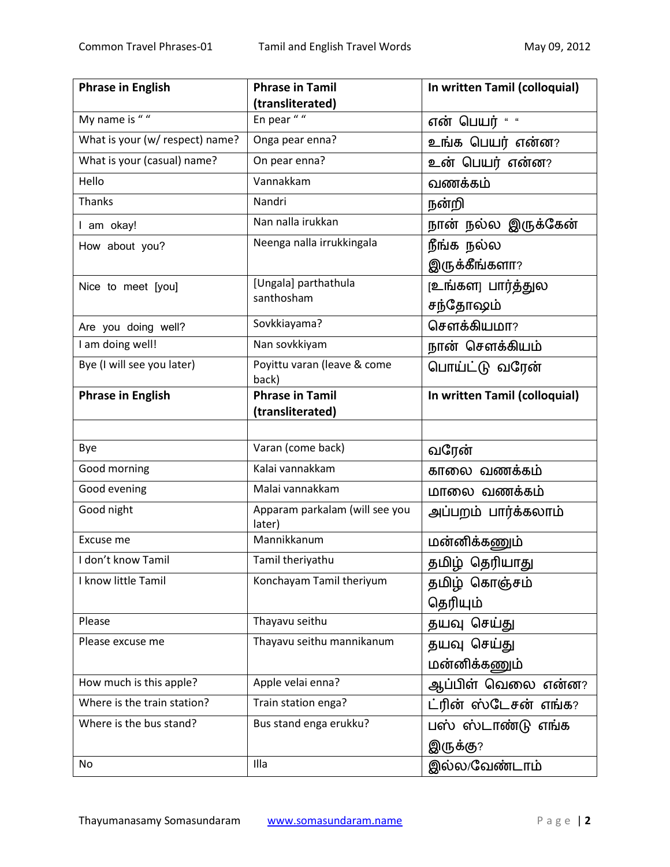| <b>Phrase in English</b>        | <b>Phrase in Tamil</b>                   | In written Tamil (colloquial) |
|---------------------------------|------------------------------------------|-------------------------------|
|                                 | (transliterated)                         |                               |
| My name is $\sqrt{u}$           | En pear $" "$                            | என் பெயர் " "                 |
| What is your (w/ respect) name? | Onga pear enna?                          | உங்க பெயர் என்ன?              |
| What is your (casual) name?     | On pear enna?                            | உன் பெயர் என்ன?               |
| Hello                           | Vannakkam                                | வணக்கம்                       |
| <b>Thanks</b>                   | Nandri                                   | நன்றி                         |
| I am okay!                      | Nan nalla irukkan                        | நான் நல்ல இருக்கேன்           |
| How about you?                  | Neenga nalla irrukkingala                | நீங்க நல்ல                    |
|                                 |                                          | இருக்கீங்களா?                 |
| Nice to meet [you]              | [Ungala] parthathula                     | (உங்களு பார்த்துல             |
|                                 | santhosham                               | சந்தோஷம்                      |
| Are you doing well?             | Sovkkiayama?                             | சௌக்கியமா?                    |
| I am doing well!                | Nan sovkkiyam                            | நான் சௌக்கியம்                |
| Bye (I will see you later)      | Poyittu varan (leave & come<br>back)     | பொய்ட்டு வரேன்                |
| <b>Phrase in English</b>        | <b>Phrase in Tamil</b>                   | In written Tamil (colloquial) |
|                                 | (transliterated)                         |                               |
|                                 |                                          |                               |
| Bye                             | Varan (come back)                        | வரேன்                         |
| Good morning                    | Kalai vannakkam                          | காலை வணக்கம்                  |
| Good evening                    | Malai vannakkam                          | மாலை வணக்கம்                  |
| Good night                      | Apparam parkalam (will see you<br>later) | அப்பறம் பார்க்கலாம்           |
| Excuse me                       | Mannikkanum                              | மன்னிக்கணும்                  |
| I don't know Tamil              | Tamil theriyathu                         | <u>தமிழ் தெரியாது</u>         |
| I know little Tamil             | Konchayam Tamil theriyum                 | தமிழ் கொஞ்சம்                 |
|                                 |                                          | தெரியும்                      |
| Please                          | Thayavu seithu                           | தயவு செய்து                   |
| Please excuse me                | Thayavu seithu mannikanum                | தயவு செய்து                   |
|                                 |                                          | மன்னிக்கணும்                  |
| How much is this apple?         | Apple velai enna?                        | ஆப்பிள் வெலை என்ன?            |
| Where is the train station?     | Train station enga?                      | ட்ரின் ஸ்டேசன் எங்க?          |
| Where is the bus stand?         | Bus stand enga erukku?                   | பஸ் ஸ்டாண்டு எங்க             |
|                                 |                                          | இருக்கு?                      |
| No                              | Illa                                     | இல்ல/வேண்டாம்                 |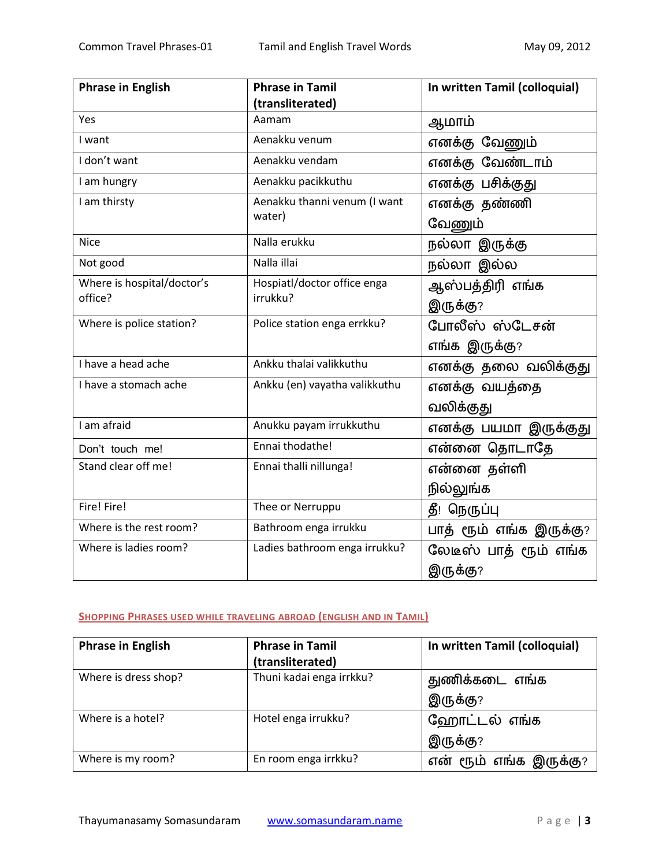| <b>Phrase in English</b>   | <b>Phrase in Tamil</b>        | In written Tamil (colloquial) |
|----------------------------|-------------------------------|-------------------------------|
|                            | (transliterated)              |                               |
| Yes                        | Aamam                         | ஆமாம்                         |
| I want                     | Aenakku venum                 | எனக்கு வேணும்                 |
| I don't want               | Aenakku vendam                | எனக்கு வேண்டாம்               |
| I am hungry                | Aenakku pacikkuthu            | எனக்கு பசிக்குது              |
| I am thirsty               | Aenakku thanni venum (I want  | எனக்கு தண்ணி                  |
|                            | water)                        | வேணும்                        |
| <b>Nice</b>                | Nalla erukku                  | நல்லா இருக்கு                 |
| Not good                   | Nalla illai                   | நல்லா இல்ல                    |
| Where is hospital/doctor's | Hospiatl/doctor office enga   | ஆஸ்பத்திரி எங்க               |
| office?                    | irrukku?                      | இருக்கு?                      |
| Where is police station?   | Police station enga errkku?   | போலீஸ் ஸ்டேசன்                |
|                            |                               | எங்க இருக்கு?                 |
| I have a head ache         | Ankku thalai valikkuthu       | எனக்கு தலை வலிக்குது          |
| I have a stomach ache      | Ankku (en) vayatha valikkuthu | எனக்கு வயத்தை                 |
|                            |                               | வலிக்குது                     |
| I am afraid                | Anukku payam irrukkuthu       | எனக்கு பயமா இருக்குது         |
| Don't touch me!            | Ennai thodathe!               | என்னை தொடாதே                  |
| Stand clear off me!        | Ennai thalli nillunga!        | என்னை தள்ளி                   |
|                            |                               | நில்லுங்க                     |
| Fire! Fire!                | Thee or Nerruppu              | தீ! நெருப்பு                  |
| Where is the rest room?    | Bathroom enga irrukku         | பாத் ரூம் எங்க இருக்கு?       |
| Where is ladies room?      | Ladies bathroom enga irrukku? | லேடீஸ் பாத் ரூம் எங்க         |
|                            |                               | இருக்கு?                      |

# **SHOPPING PHRASES USED WHILE TRAVELING ABROAD (ENGLISH AND IN TAMIL)**

| <b>Phrase in English</b> | <b>Phrase in Tamil</b>   | In written Tamil (colloquial) |
|--------------------------|--------------------------|-------------------------------|
|                          | (transliterated)         |                               |
| Where is dress shop?     | Thuni kadai enga irrkku? | துணிக்கடை எங்க                |
|                          |                          | இருக்கு?                      |
| Where is a hotel?        | Hotel enga irrukku?      | ஹோட்டல் எங்க                  |
|                          |                          | இருக்கு?                      |
| Where is my room?        | En room enga irrkku?     | என் ரூம் எங்க இருக்கு?        |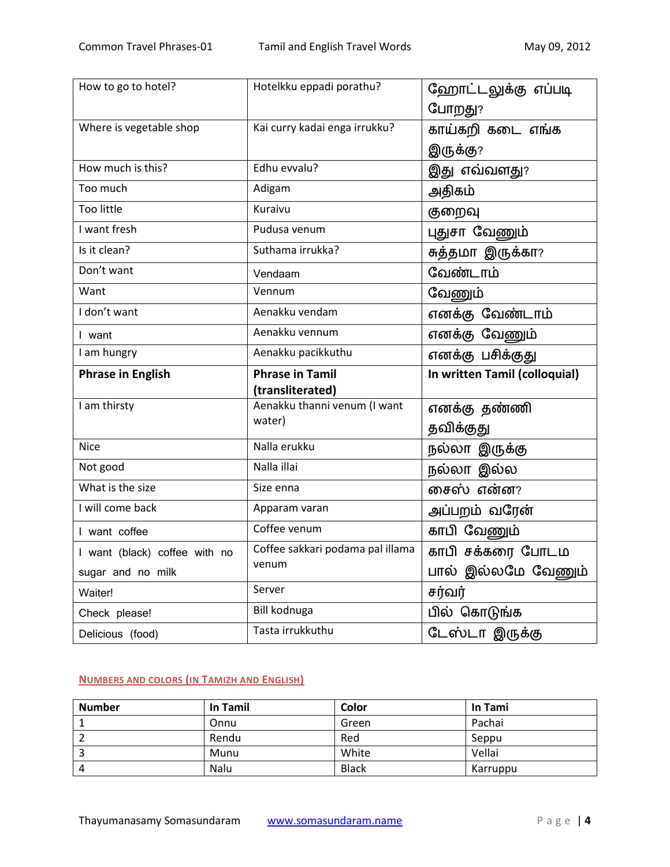| How to go to hotel?           | Hotelkku eppadi porathu?               | ஹோட்டலுக்கு எப்படி<br>போறது?  |
|-------------------------------|----------------------------------------|-------------------------------|
| Where is vegetable shop       | Kai curry kadai enga irrukku?          | காய்கறி கடை எங்க              |
|                               |                                        | இருக்கு?                      |
| How much is this?             | Edhu evvalu?                           | இது எவ்வளது?                  |
| Too much                      | Adigam                                 | அதிகம்                        |
| <b>Too little</b>             | Kuraivu                                | குறைவு                        |
| I want fresh                  | Pudusa venum                           | புதுசா வேணும்                 |
| Is it clean?                  | Suthama irrukka?                       | சுத்தமா இருக்கா?              |
| Don't want                    | Vendaam                                | வேண்டாம்                      |
| Want                          | Vennum                                 | வேணும்                        |
| I don't want                  | Aenakku vendam                         | எனக்கு வேண்டாம்               |
| I want                        | Aenakku vennum                         | எனக்கு வேணும்                 |
| I am hungry                   | Aenakku pacikkuthu                     | எனக்கு பசிக்குது              |
| <b>Phrase in English</b>      | <b>Phrase in Tamil</b>                 | In written Tamil (colloquial) |
|                               | (transliterated)                       |                               |
| I am thirsty                  | Aenakku thanni venum (I want<br>water) | எனக்கு தண்ணி                  |
|                               |                                        | தவிக்குது                     |
| <b>Nice</b>                   | Nalla erukku                           | நல்லா இருக்கு                 |
| Not good                      | Nalla illai                            | நல்லா இல்ல                    |
| What is the size              | Size enna                              | சைஸ் என்ன?                    |
| I will come back              | Apparam varan                          | அப்பறம் வரேன்                 |
| I want coffee                 | Coffee venum                           | காபி வேணும்                   |
| I want (black) coffee with no | Coffee sakkari podama pal illama       | காபி சக்கரை போடம              |
| sugar and no milk             | venum                                  | பால் இல்லமே வேணும்            |
|                               |                                        |                               |
| Waiter!                       | Server                                 | சர்வர்                        |
| Check please!                 | Bill kodnuga                           | பில் கொடுங்க                  |

# **NUMBERS AND COLORS (IN TAMIZH AND ENGLISH)**

| <b>Number</b> | In Tamil | Color        | In Tami  |
|---------------|----------|--------------|----------|
|               | Onnu     | Green        | Pachai   |
|               | Rendu    | Red          | Seppu    |
|               | Munu     | White        | Vellai   |
|               | Nalu     | <b>Black</b> | Karruppu |